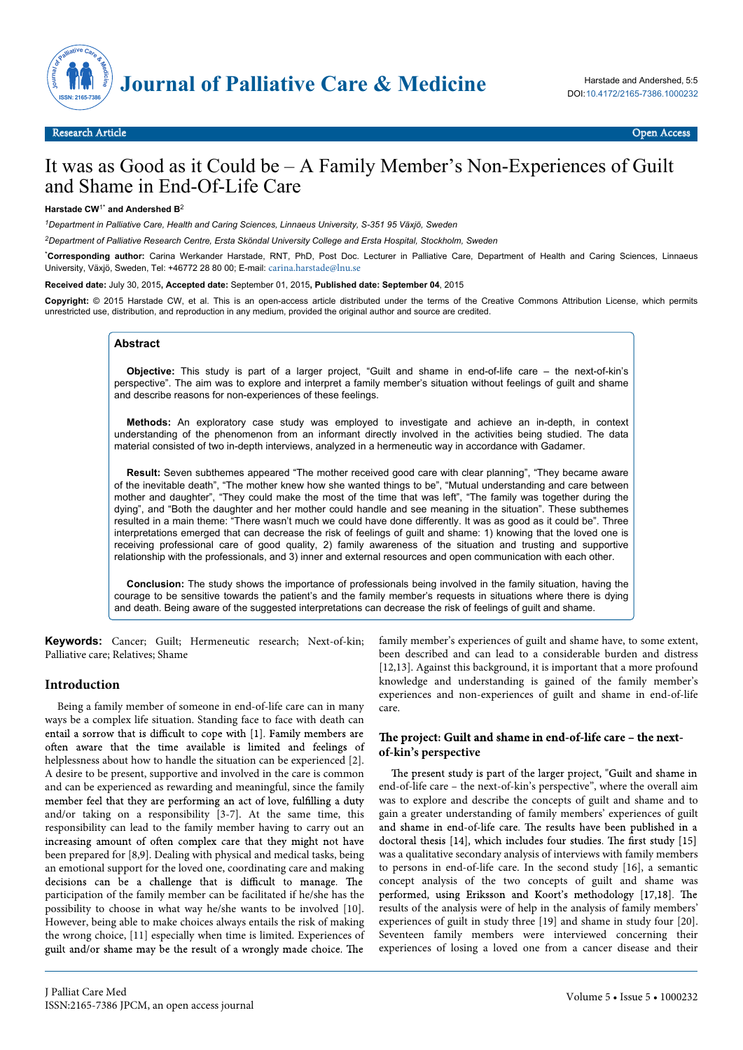

# It was as Good as it Could be – A Family Member's Non-Experiences of Guilt and Shame in End-Of-Life Care

#### **Harstade CW**1\* **and Andershed B**<sup>2</sup>

*1Department in Palliative Care, Health and Caring Sciences, Linnaeus University, S-351 95 Växjö, Sweden*

*2Department of Palliative Research Centre, Ersta Sköndal University College and Ersta Hospital, Stockholm, Sweden*

\* **Corresponding author:** Carina Werkander Harstade, RNT, PhD, Post Doc. Lecturer in Palliative Care, Department of Health and Caring Sciences, Linnaeus University, Växjö, Sweden, Tel: +46772 28 80 00; E-mail: [carina.harstade@lnu.se](mailto:carina.harstade@lnu.se)

**Received date:** July 30, 2015**, Accepted date:** September 01, 2015**, Published date: September 04**, 2015

**Copyright:** © 2015 Harstade CW, et al. This is an open-access article distributed under the terms of the Creative Commons Attribution License, which permits unrestricted use, distribution, and reproduction in any medium, provided the original author and source are credited.

## **Abstract**

**Objective:** This study is part of a larger project, "Guilt and shame in end-of-life care – the next-of-kin's perspective". The aim was to explore and interpret a family member's situation without feelings of guilt and shame and describe reasons for non-experiences of these feelings.

**Methods:** An exploratory case study was employed to investigate and achieve an in-depth, in context understanding of the phenomenon from an informant directly involved in the activities being studied. The data material consisted of two in-depth interviews, analyzed in a hermeneutic way in accordance with Gadamer.

**Result:** Seven subthemes appeared "The mother received good care with clear planning", "They became aware of the inevitable death", "The mother knew how she wanted things to be", "Mutual understanding and care between mother and daughter", "They could make the most of the time that was left", "The family was together during the dying", and "Both the daughter and her mother could handle and see meaning in the situation". These subthemes resulted in a main theme: "There wasn't much we could have done differently. It was as good as it could be". Three interpretations emerged that can decrease the risk of feelings of guilt and shame: 1) knowing that the loved one is receiving professional care of good quality, 2) family awareness of the situation and trusting and supportive relationship with the professionals, and 3) inner and external resources and open communication with each other.

**Conclusion:** The study shows the importance of professionals being involved in the family situation, having the courage to be sensitive towards the patient's and the family member's requests in situations where there is dying and death. Being aware of the suggested interpretations can decrease the risk of feelings of guilt and shame.

**Keywords:** Cancer; Guilt; Hermeneutic research; Next-of-kin; Palliative care; Relatives; Shame

#### **Introduction**

Being a family member of someone in end-of-life care can in many ways be a complex life situation. Standing face to face with death can entail a sorrow that is difficult to cope with [1]. Family members are often aware that the time available is limited and feelings of helplessness about how to handle the situation can be experienced [2]. A desire to be present, supportive and involved in the care is common and can be experienced as rewarding and meaningful, since the family member feel that they are performing an act of love, fulfilling a duty and/or taking on a responsibility [3-7]. At the same time, this responsibility can lead to the family member having to carry out an increasing amount of often complex care that they might not have been prepared for [8,9]. Dealing with physical and medical tasks, being an emotional support for the loved one, coordinating care and making decisions can be a challenge that is difficult to manage. The participation of the family member can be facilitated if he/she has the possibility to choose in what way he/she wants to be involved [10]. However, being able to make choices always entails the risk of making the wrong choice, [11] especially when time is limited. Experiences of guilt and/or shame may be the result of a wrongly made choice. The

family member's experiences of guilt and shame have, to some extent, been described and can lead to a considerable burden and distress [12,13]. Against this background, it is important that a more profound knowledge and understanding is gained of the family member's experiences and non-experiences of guilt and shame in end-of-life care.

#### The project: Guilt and shame in end-of-life care - the next**of-kin's perspective**

The present study is part of the larger project, "Guilt and shame in end-of-life care – the next-of-kin's perspective", where the overall aim was to explore and describe the concepts of guilt and shame and to gain a greater understanding of family members' experiences of guilt and shame in end-of-life care. The results have been published in a doctoral thesis [14], which includes four studies. The first study [15] was a qualitative secondary analysis of interviews with family members to persons in end-of-life care. In the second study [16], a semantic concept analysis of the two concepts of guilt and shame was performed, using Eriksson and Koort's methodology [17,18]. The results of the analysis were of help in the analysis of family members' experiences of guilt in study three [19] and shame in study four [20]. Seventeen family members were interviewed concerning their experiences of losing a loved one from a cancer disease and their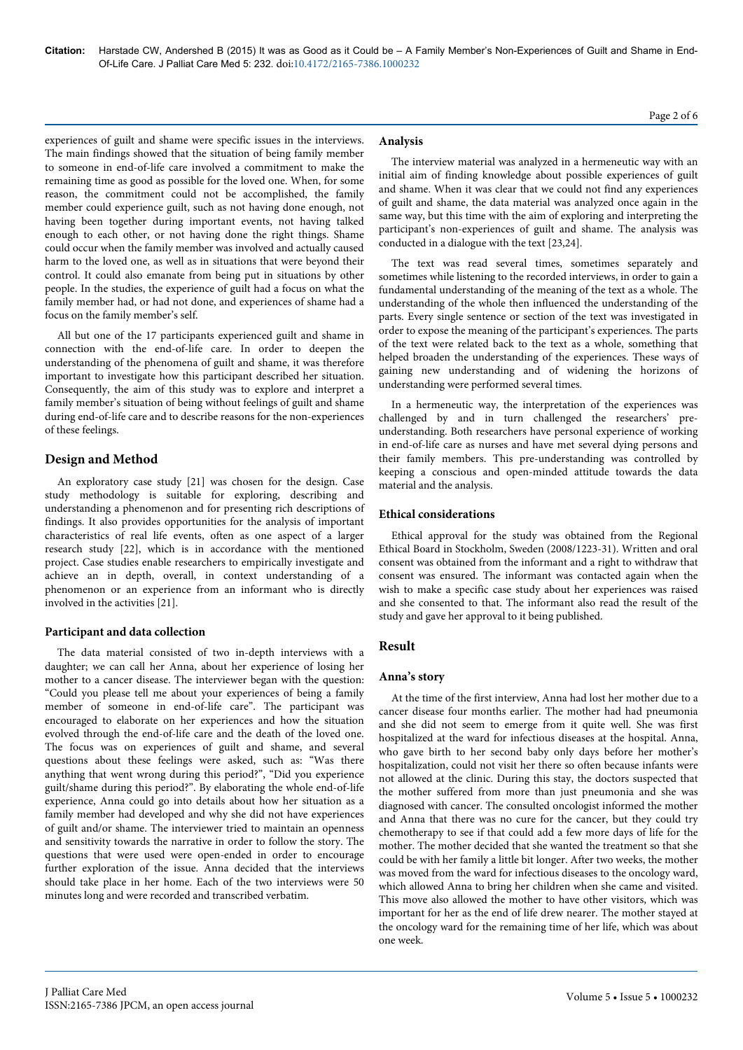experiences of guilt and shame were specific issues in the interviews. The main findings showed that the situation of being family member to someone in end-of-life care involved a commitment to make the remaining time as good as possible for the loved one. When, for some reason, the commitment could not be accomplished, the family member could experience guilt, such as not having done enough, not having been together during important events, not having talked enough to each other, or not having done the right things. Shame could occur when the family member was involved and actually caused harm to the loved one, as well as in situations that were beyond their control. It could also emanate from being put in situations by other people. In the studies, the experience of guilt had a focus on what the family member had, or had not done, and experiences of shame had a focus on the family member's self.

All but one of the 17 participants experienced guilt and shame in connection with the end-of-life care. In order to deepen the understanding of the phenomena of guilt and shame, it was therefore important to investigate how this participant described her situation. Consequently, the aim of this study was to explore and interpret a family member's situation of being without feelings of guilt and shame during end-of-life care and to describe reasons for the non-experiences of these feelings.

# **Design and Method**

An exploratory case study [21] was chosen for the design. Case study methodology is suitable for exploring, describing and understanding a phenomenon and for presenting rich descriptions of findings. It also provides opportunities for the analysis of important characteristics of real life events, often as one aspect of a larger research study [22], which is in accordance with the mentioned project. Case studies enable researchers to empirically investigate and achieve an in depth, overall, in context understanding of a phenomenon or an experience from an informant who is directly involved in the activities [21].

## **Participant and data collection**

The data material consisted of two in-depth interviews with a daughter; we can call her Anna, about her experience of losing her mother to a cancer disease. The interviewer began with the question: "Could you please tell me about your experiences of being a family member of someone in end-of-life care". The participant was encouraged to elaborate on her experiences and how the situation evolved through the end-of-life care and the death of the loved one. The focus was on experiences of guilt and shame, and several questions about these feelings were asked, such as: "Was there anything that went wrong during this period?", "Did you experience guilt/shame during this period?". By elaborating the whole end-of-life experience, Anna could go into details about how her situation as a family member had developed and why she did not have experiences of guilt and/or shame. The interviewer tried to maintain an openness and sensitivity towards the narrative in order to follow the story. The questions that were used were open-ended in order to encourage further exploration of the issue. Anna decided that the interviews should take place in her home. Each of the two interviews were 50 minutes long and were recorded and transcribed verbatim.

## **Analysis**

The interview material was analyzed in a hermeneutic way with an initial aim of finding knowledge about possible experiences of guilt and shame. When it was clear that we could not find any experiences of guilt and shame, the data material was analyzed once again in the same way, but this time with the aim of exploring and interpreting the participant's non-experiences of guilt and shame. The analysis was conducted in a dialogue with the text [23,24].

The text was read several times, sometimes separately and sometimes while listening to the recorded interviews, in order to gain a fundamental understanding of the meaning of the text as a whole. The understanding of the whole then influenced the understanding of the parts. Every single sentence or section of the text was investigated in order to expose the meaning of the participant's experiences. The parts of the text were related back to the text as a whole, something that helped broaden the understanding of the experiences. These ways of gaining new understanding and of widening the horizons of understanding were performed several times.

In a hermeneutic way, the interpretation of the experiences was challenged by and in turn challenged the researchers' preunderstanding. Both researchers have personal experience of working in end-of-life care as nurses and have met several dying persons and their family members. This pre-understanding was controlled by keeping a conscious and open-minded attitude towards the data material and the analysis.

## **Ethical considerations**

Ethical approval for the study was obtained from the Regional Ethical Board in Stockholm, Sweden (2008/1223-31). Written and oral consent was obtained from the informant and a right to withdraw that consent was ensured. The informant was contacted again when the wish to make a specific case study about her experiences was raised and she consented to that. The informant also read the result of the study and gave her approval to it being published.

# **Result**

## **Anna's story**

At the time of the first interview, Anna had lost her mother due to a cancer disease four months earlier. The mother had had pneumonia and she did not seem to emerge from it quite well. She was first hospitalized at the ward for infectious diseases at the hospital. Anna, who gave birth to her second baby only days before her mother's hospitalization, could not visit her there so often because infants were not allowed at the clinic. During this stay, the doctors suspected that the mother suffered from more than just pneumonia and she was diagnosed with cancer. The consulted oncologist informed the mother and Anna that there was no cure for the cancer, but they could try chemotherapy to see if that could add a few more days of life for the mother. The mother decided that she wanted the treatment so that she could be with her family a little bit longer. After two weeks, the mother was moved from the ward for infectious diseases to the oncology ward, which allowed Anna to bring her children when she came and visited. This move also allowed the mother to have other visitors, which was important for her as the end of life drew nearer. The mother stayed at the oncology ward for the remaining time of her life, which was about one week.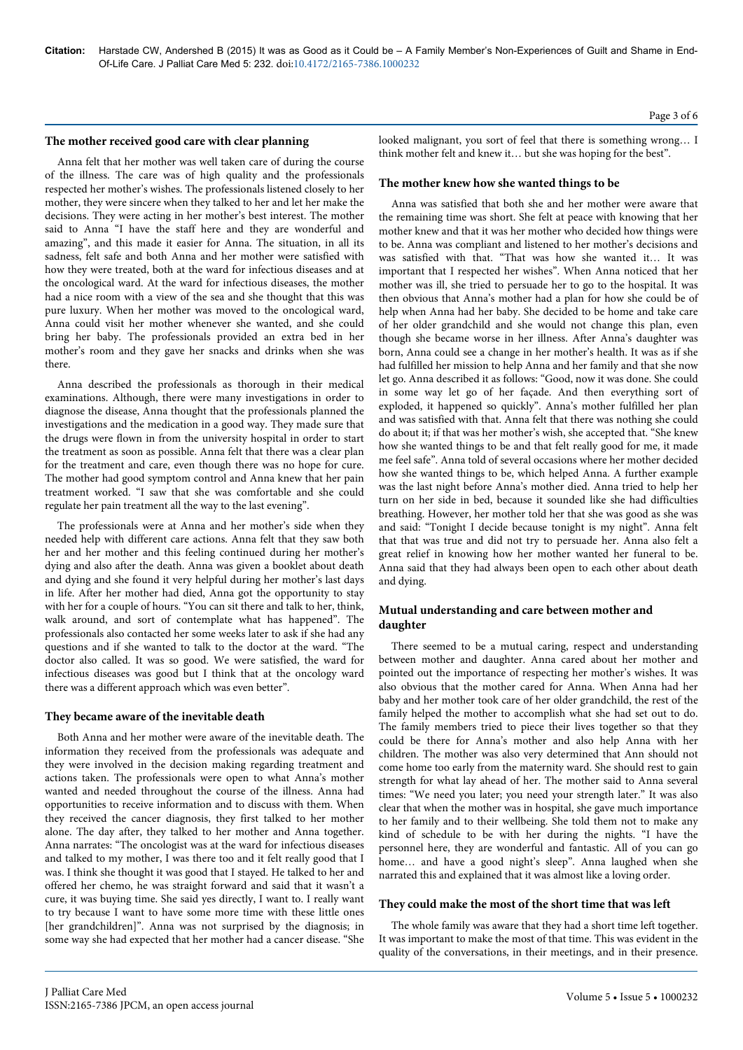#### **The mother received good care with clear planning**

Anna felt that her mother was well taken care of during the course of the illness. The care was of high quality and the professionals respected her mother's wishes. The professionals listened closely to her mother, they were sincere when they talked to her and let her make the decisions. They were acting in her mother's best interest. The mother said to Anna "I have the staff here and they are wonderful and amazing", and this made it easier for Anna. The situation, in all its sadness, felt safe and both Anna and her mother were satisfied with how they were treated, both at the ward for infectious diseases and at the oncological ward. At the ward for infectious diseases, the mother had a nice room with a view of the sea and she thought that this was pure luxury. When her mother was moved to the oncological ward, Anna could visit her mother whenever she wanted, and she could bring her baby. The professionals provided an extra bed in her mother's room and they gave her snacks and drinks when she was there.

Anna described the professionals as thorough in their medical examinations. Although, there were many investigations in order to diagnose the disease, Anna thought that the professionals planned the investigations and the medication in a good way. They made sure that the drugs were flown in from the university hospital in order to start the treatment as soon as possible. Anna felt that there was a clear plan for the treatment and care, even though there was no hope for cure. The mother had good symptom control and Anna knew that her pain treatment worked. "I saw that she was comfortable and she could regulate her pain treatment all the way to the last evening".

The professionals were at Anna and her mother's side when they needed help with different care actions. Anna felt that they saw both her and her mother and this feeling continued during her mother's dying and also after the death. Anna was given a booklet about death and dying and she found it very helpful during her mother's last days in life. After her mother had died, Anna got the opportunity to stay with her for a couple of hours. "You can sit there and talk to her, think, walk around, and sort of contemplate what has happened". The professionals also contacted her some weeks later to ask if she had any questions and if she wanted to talk to the doctor at the ward. "The doctor also called. It was so good. We were satisfied, the ward for infectious diseases was good but I think that at the oncology ward there was a different approach which was even better".

#### **They became aware of the inevitable death**

Both Anna and her mother were aware of the inevitable death. The information they received from the professionals was adequate and they were involved in the decision making regarding treatment and actions taken. The professionals were open to what Anna's mother wanted and needed throughout the course of the illness. Anna had opportunities to receive information and to discuss with them. When they received the cancer diagnosis, they first talked to her mother alone. The day after, they talked to her mother and Anna together. Anna narrates: "The oncologist was at the ward for infectious diseases and talked to my mother, I was there too and it felt really good that I was. I think she thought it was good that I stayed. He talked to her and offered her chemo, he was straight forward and said that it wasn't a cure, it was buying time. She said yes directly, I want to. I really want to try because I want to have some more time with these little ones [her grandchildren]". Anna was not surprised by the diagnosis; in some way she had expected that her mother had a cancer disease. "She

looked malignant, you sort of feel that there is something wrong… I

## **The mother knew how she wanted things to be**

think mother felt and knew it… but she was hoping for the best".

Anna was satisfied that both she and her mother were aware that the remaining time was short. She felt at peace with knowing that her mother knew and that it was her mother who decided how things were to be. Anna was compliant and listened to her mother's decisions and was satisfied with that. "That was how she wanted it… It was important that I respected her wishes". When Anna noticed that her mother was ill, she tried to persuade her to go to the hospital. It was then obvious that Anna's mother had a plan for how she could be of help when Anna had her baby. She decided to be home and take care of her older grandchild and she would not change this plan, even though she became worse in her illness. After Anna's daughter was born, Anna could see a change in her mother's health. It was as if she had fulfilled her mission to help Anna and her family and that she now let go. Anna described it as follows: "Good, now it was done. She could in some way let go of her façade. And then everything sort of exploded, it happened so quickly". Anna's mother fulfilled her plan and was satisfied with that. Anna felt that there was nothing she could do about it; if that was her mother's wish, she accepted that. "She knew how she wanted things to be and that felt really good for me, it made me feel safe". Anna told of several occasions where her mother decided how she wanted things to be, which helped Anna. A further example was the last night before Anna's mother died. Anna tried to help her turn on her side in bed, because it sounded like she had difficulties breathing. However, her mother told her that she was good as she was and said: "Tonight I decide because tonight is my night". Anna felt that that was true and did not try to persuade her. Anna also felt a great relief in knowing how her mother wanted her funeral to be. Anna said that they had always been open to each other about death and dying.

#### **Mutual understanding and care between mother and daughter**

There seemed to be a mutual caring, respect and understanding between mother and daughter. Anna cared about her mother and pointed out the importance of respecting her mother's wishes. It was also obvious that the mother cared for Anna. When Anna had her baby and her mother took care of her older grandchild, the rest of the family helped the mother to accomplish what she had set out to do. The family members tried to piece their lives together so that they could be there for Anna's mother and also help Anna with her children. The mother was also very determined that Ann should not come home too early from the maternity ward. She should rest to gain strength for what lay ahead of her. The mother said to Anna several times: "We need you later; you need your strength later." It was also clear that when the mother was in hospital, she gave much importance to her family and to their wellbeing. She told them not to make any kind of schedule to be with her during the nights. "I have the personnel here, they are wonderful and fantastic. All of you can go home… and have a good night's sleep". Anna laughed when she narrated this and explained that it was almost like a loving order.

#### **They could make the most of the short time that was left**

The whole family was aware that they had a short time left together. It was important to make the most of that time. This was evident in the quality of the conversations, in their meetings, and in their presence.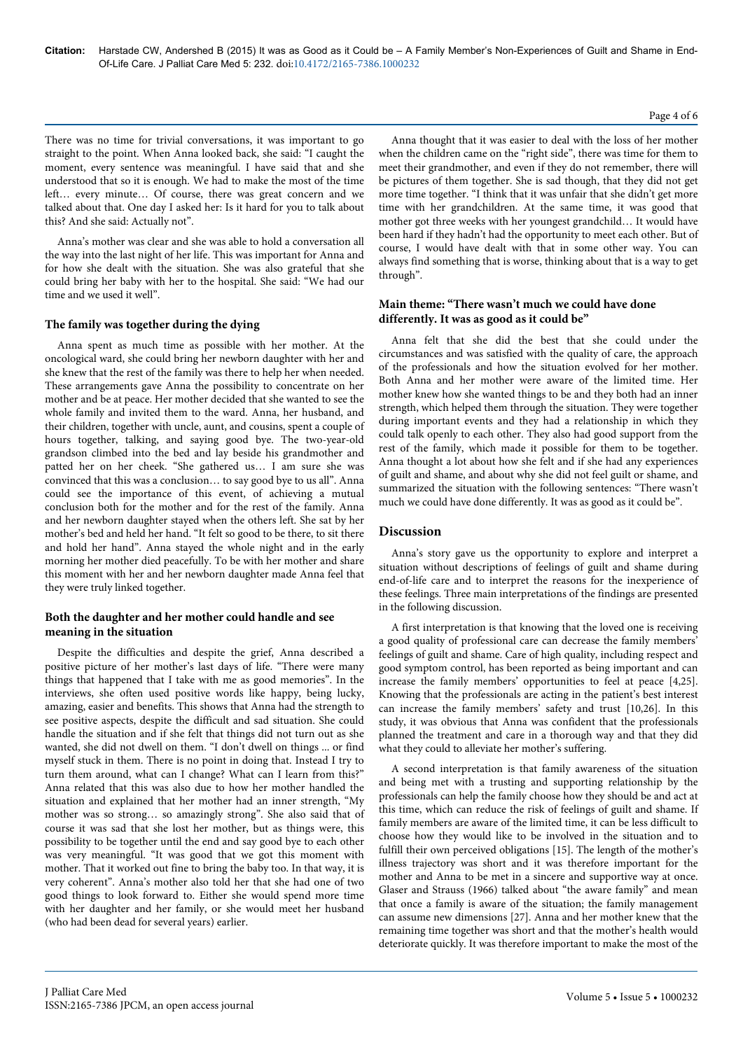#### Page 4 of 6

There was no time for trivial conversations, it was important to go straight to the point. When Anna looked back, she said: "I caught the moment, every sentence was meaningful. I have said that and she understood that so it is enough. We had to make the most of the time left… every minute… Of course, there was great concern and we talked about that. One day I asked her: Is it hard for you to talk about this? And she said: Actually not".

Anna's mother was clear and she was able to hold a conversation all the way into the last night of her life. This was important for Anna and for how she dealt with the situation. She was also grateful that she could bring her baby with her to the hospital. She said: "We had our time and we used it well".

#### **The family was together during the dying**

Anna spent as much time as possible with her mother. At the oncological ward, she could bring her newborn daughter with her and she knew that the rest of the family was there to help her when needed. These arrangements gave Anna the possibility to concentrate on her mother and be at peace. Her mother decided that she wanted to see the whole family and invited them to the ward. Anna, her husband, and their children, together with uncle, aunt, and cousins, spent a couple of hours together, talking, and saying good bye. The two-year-old grandson climbed into the bed and lay beside his grandmother and patted her on her cheek. "She gathered us… I am sure she was convinced that this was a conclusion… to say good bye to us all". Anna could see the importance of this event, of achieving a mutual conclusion both for the mother and for the rest of the family. Anna and her newborn daughter stayed when the others left. She sat by her mother's bed and held her hand. "It felt so good to be there, to sit there and hold her hand". Anna stayed the whole night and in the early morning her mother died peacefully. To be with her mother and share this moment with her and her newborn daughter made Anna feel that they were truly linked together.

#### **Both the daughter and her mother could handle and see meaning in the situation**

Despite the difficulties and despite the grief, Anna described a positive picture of her mother's last days of life. "There were many things that happened that I take with me as good memories". In the interviews, she often used positive words like happy, being lucky, amazing, easier and benefits. This shows that Anna had the strength to see positive aspects, despite the difficult and sad situation. She could handle the situation and if she felt that things did not turn out as she wanted, she did not dwell on them. "I don't dwell on things ... or find myself stuck in them. There is no point in doing that. Instead I try to turn them around, what can I change? What can I learn from this?" Anna related that this was also due to how her mother handled the situation and explained that her mother had an inner strength, "My mother was so strong… so amazingly strong". She also said that of course it was sad that she lost her mother, but as things were, this possibility to be together until the end and say good bye to each other was very meaningful. "It was good that we got this moment with mother. That it worked out fine to bring the baby too. In that way, it is very coherent". Anna's mother also told her that she had one of two good things to look forward to. Either she would spend more time with her daughter and her family, or she would meet her husband (who had been dead for several years) earlier.

Anna thought that it was easier to deal with the loss of her mother when the children came on the "right side", there was time for them to meet their grandmother, and even if they do not remember, there will be pictures of them together. She is sad though, that they did not get more time together. "I think that it was unfair that she didn't get more time with her grandchildren. At the same time, it was good that mother got three weeks with her youngest grandchild… It would have been hard if they hadn't had the opportunity to meet each other. But of course, I would have dealt with that in some other way. You can always find something that is worse, thinking about that is a way to get through".

## **Main theme: "There wasn't much we could have done differently. It was as good as it could be"**

Anna felt that she did the best that she could under the circumstances and was satisfied with the quality of care, the approach of the professionals and how the situation evolved for her mother. Both Anna and her mother were aware of the limited time. Her mother knew how she wanted things to be and they both had an inner strength, which helped them through the situation. They were together during important events and they had a relationship in which they could talk openly to each other. They also had good support from the rest of the family, which made it possible for them to be together. Anna thought a lot about how she felt and if she had any experiences of guilt and shame, and about why she did not feel guilt or shame, and summarized the situation with the following sentences: "There wasn't much we could have done differently. It was as good as it could be".

## **Discussion**

Anna's story gave us the opportunity to explore and interpret a situation without descriptions of feelings of guilt and shame during end-of-life care and to interpret the reasons for the inexperience of these feelings. Three main interpretations of the findings are presented in the following discussion.

A first interpretation is that knowing that the loved one is receiving a good quality of professional care can decrease the family members' feelings of guilt and shame. Care of high quality, including respect and good symptom control, has been reported as being important and can increase the family members' opportunities to feel at peace [4,25]. Knowing that the professionals are acting in the patient's best interest can increase the family members' safety and trust [10,26]. In this study, it was obvious that Anna was confident that the professionals planned the treatment and care in a thorough way and that they did what they could to alleviate her mother's suffering.

A second interpretation is that family awareness of the situation and being met with a trusting and supporting relationship by the professionals can help the family choose how they should be and act at this time, which can reduce the risk of feelings of guilt and shame. If family members are aware of the limited time, it can be less difficult to choose how they would like to be involved in the situation and to fulfill their own perceived obligations [15]. The length of the mother's illness trajectory was short and it was therefore important for the mother and Anna to be met in a sincere and supportive way at once. Glaser and Strauss (1966) talked about "the aware family" and mean that once a family is aware of the situation; the family management can assume new dimensions [27]. Anna and her mother knew that the remaining time together was short and that the mother's health would deteriorate quickly. It was therefore important to make the most of the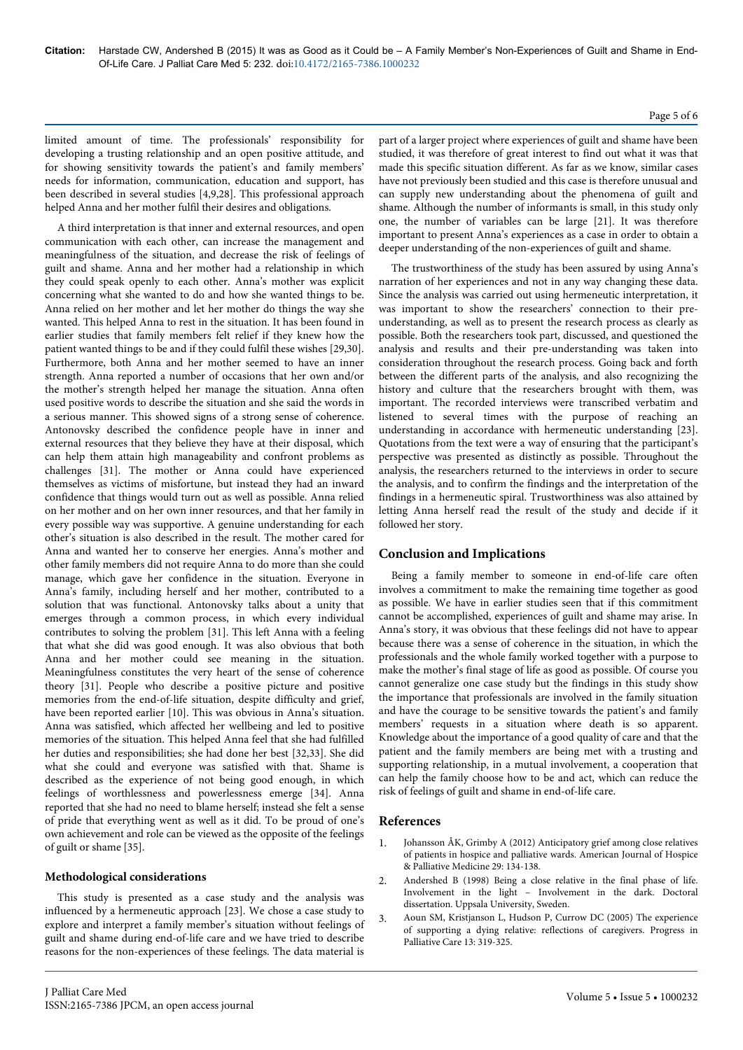limited amount of time. The professionals' responsibility for developing a trusting relationship and an open positive attitude, and for showing sensitivity towards the patient's and family members' needs for information, communication, education and support, has been described in several studies [4,9,28]. This professional approach helped Anna and her mother fulfil their desires and obligations.

A third interpretation is that inner and external resources, and open communication with each other, can increase the management and meaningfulness of the situation, and decrease the risk of feelings of guilt and shame. Anna and her mother had a relationship in which they could speak openly to each other. Anna's mother was explicit concerning what she wanted to do and how she wanted things to be. Anna relied on her mother and let her mother do things the way she wanted. This helped Anna to rest in the situation. It has been found in earlier studies that family members felt relief if they knew how the patient wanted things to be and if they could fulfil these wishes [29,30]. Furthermore, both Anna and her mother seemed to have an inner strength. Anna reported a number of occasions that her own and/or the mother's strength helped her manage the situation. Anna often used positive words to describe the situation and she said the words in a serious manner. This showed signs of a strong sense of coherence. Antonovsky described the confidence people have in inner and external resources that they believe they have at their disposal, which can help them attain high manageability and confront problems as challenges [31]. The mother or Anna could have experienced themselves as victims of misfortune, but instead they had an inward confidence that things would turn out as well as possible. Anna relied on her mother and on her own inner resources, and that her family in every possible way was supportive. A genuine understanding for each other's situation is also described in the result. The mother cared for Anna and wanted her to conserve her energies. Anna's mother and other family members did not require Anna to do more than she could manage, which gave her confidence in the situation. Everyone in Anna's family, including herself and her mother, contributed to a solution that was functional. Antonovsky talks about a unity that emerges through a common process, in which every individual contributes to solving the problem [31]. This left Anna with a feeling that what she did was good enough. It was also obvious that both Anna and her mother could see meaning in the situation. Meaningfulness constitutes the very heart of the sense of coherence theory [31]. People who describe a positive picture and positive memories from the end-of-life situation, despite difficulty and grief, have been reported earlier [10]. This was obvious in Anna's situation. Anna was satisfied, which affected her wellbeing and led to positive memories of the situation. This helped Anna feel that she had fulfilled her duties and responsibilities; she had done her best [32,33]. She did what she could and everyone was satisfied with that. Shame is described as the experience of not being good enough, in which feelings of worthlessness and powerlessness emerge [34]. Anna reported that she had no need to blame herself; instead she felt a sense of pride that everything went as well as it did. To be proud of one's own achievement and role can be viewed as the opposite of the feelings of guilt or shame [35].

#### **Methodological considerations**

This study is presented as a case study and the analysis was influenced by a hermeneutic approach [23]. We chose a case study to explore and interpret a family member's situation without feelings of guilt and shame during end-of-life care and we have tried to describe reasons for the non-experiences of these feelings. The data material is

part of a larger project where experiences of guilt and shame have been studied, it was therefore of great interest to find out what it was that made this specific situation different. As far as we know, similar cases have not previously been studied and this case is therefore unusual and can supply new understanding about the phenomena of guilt and shame. Although the number of informants is small, in this study only one, the number of variables can be large [21]. It was therefore important to present Anna's experiences as a case in order to obtain a deeper understanding of the non-experiences of guilt and shame.

The trustworthiness of the study has been assured by using Anna's narration of her experiences and not in any way changing these data. Since the analysis was carried out using hermeneutic interpretation, it was important to show the researchers' connection to their preunderstanding, as well as to present the research process as clearly as possible. Both the researchers took part, discussed, and questioned the analysis and results and their pre-understanding was taken into consideration throughout the research process. Going back and forth between the different parts of the analysis, and also recognizing the history and culture that the researchers brought with them, was important. The recorded interviews were transcribed verbatim and listened to several times with the purpose of reaching an understanding in accordance with hermeneutic understanding [23]. Quotations from the text were a way of ensuring that the participant's perspective was presented as distinctly as possible. Throughout the analysis, the researchers returned to the interviews in order to secure the analysis, and to confirm the findings and the interpretation of the findings in a hermeneutic spiral. Trustworthiness was also attained by letting Anna herself read the result of the study and decide if it followed her story.

# **Conclusion and Implications**

Being a family member to someone in end-of-life care often involves a commitment to make the remaining time together as good as possible. We have in earlier studies seen that if this commitment cannot be accomplished, experiences of guilt and shame may arise. In Anna's story, it was obvious that these feelings did not have to appear because there was a sense of coherence in the situation, in which the professionals and the whole family worked together with a purpose to make the mother's final stage of life as good as possible. Of course you cannot generalize one case study but the findings in this study show the importance that professionals are involved in the family situation and have the courage to be sensitive towards the patient's and family members' requests in a situation where death is so apparent. Knowledge about the importance of a good quality of care and that the patient and the family members are being met with a trusting and supporting relationship, in a mutual involvement, a cooperation that can help the family choose how to be and act, which can reduce the risk of feelings of guilt and shame in end-of-life care.

#### **References**

- 1. [Johansson ÅK, Grimby A \(2012\) Anticipatory grief among close relatives](http://ajh.sagepub.com/content/29/2/134.abstract) [of patients in hospice and palliative wards. American Journal of Hospice](http://ajh.sagepub.com/content/29/2/134.abstract) [& Palliative Medicine 29: 134-138.](http://ajh.sagepub.com/content/29/2/134.abstract)
- 2. Andershed B (1998) Being a close relative in the final phase of life. Involvement in the light – Involvement in the dark. Doctoral dissertation. Uppsala University, Sweden.
- 3. [Aoun SM, Kristjanson L, Hudson P, Currow DC \(2005\) The experience](http://eprints.qut.edu.au/21845/) [of supporting a dying relative: reflections of caregivers. Progress in](http://eprints.qut.edu.au/21845/) [Palliative Care 13: 319-325.](http://eprints.qut.edu.au/21845/)

#### Page 5 of 6